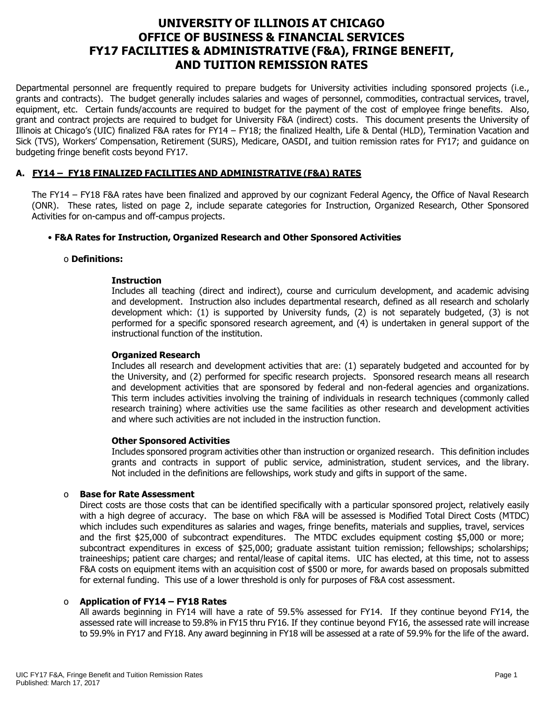# **UNIVERSITY OF ILLINOIS AT CHICAGO OFFICE OF BUSINESS & FINANCIAL SERVICES FY17 FACILITIES & ADMINISTRATIVE (F&A), FRINGE BENEFIT, AND TUITION REMISSION RATES**

Departmental personnel are frequently required to prepare budgets for University activities including sponsored projects (i.e., grants and contracts). The budget generally includes salaries and wages of personnel, commodities, contractual services, travel, equipment, etc. Certain funds/accounts are required to budget for the payment of the cost of employee fringe benefits. Also, grant and contract projects are required to budget for University F&A (indirect) costs. This document presents the University of Illinois at Chicago's (UIC) finalized F&A rates for FY14 – FY18; the finalized Health, Life & Dental (HLD), Termination Vacation and Sick (TVS), Workers' Compensation, Retirement (SURS), Medicare, OASDI, and tuition remission rates for FY17; and guidance on budgeting fringe benefit costs beyond FY17.

# **A. FY14 – FY18 FINALIZED FACILITIES AND ADMINISTRATIVE (F&A) RATES**

The FY14 – FY18 F&A rates have been finalized and approved by our cognizant Federal Agency, the Office of Naval Research (ONR). These rates, listed on page 2, include separate categories for Instruction, Organized Research, Other Sponsored Activities for on-campus and off-campus projects.

## • **F&A Rates for Instruction, Organized Research and Other Sponsored Activities**

#### o **Definitions:**

#### **Instruction**

Includes all teaching (direct and indirect), course and curriculum development, and academic advising and development. Instruction also includes departmental research, defined as all research and scholarly development which: (1) is supported by University funds, (2) is not separately budgeted, (3) is not performed for a specific sponsored research agreement, and (4) is undertaken in general support of the instructional function of the institution.

#### **Organized Research**

Includes all research and development activities that are: (1) separately budgeted and accounted for by the University, and (2) performed for specific research projects. Sponsored research means all research and development activities that are sponsored by federal and non-federal agencies and organizations. This term includes activities involving the training of individuals in research techniques (commonly called research training) where activities use the same facilities as other research and development activities and where such activities are not included in the instruction function.

#### **Other Sponsored Activities**

Includes sponsored program activities other than instruction or organized research. This definition includes grants and contracts in support of public service, administration, student services, and the library. Not included in the definitions are fellowships, work study and gifts in support of the same.

#### o **Base for Rate Assessment**

Direct costs are those costs that can be identified specifically with a particular sponsored project, relatively easily with a high degree of accuracy. The base on which F&A will be assessed is Modified Total Direct Costs (MTDC) which includes such expenditures as salaries and wages, fringe benefits, materials and supplies, travel, services and the first \$25,000 of subcontract expenditures. The MTDC excludes equipment costing \$5,000 or more; subcontract expenditures in excess of \$25,000; graduate assistant tuition remission; fellowships; scholarships; traineeships; patient care charges; and rental/lease of capital items. UIC has elected, at this time, not to assess F&A costs on equipment items with an acquisition cost of \$500 or more, for awards based on proposals submitted for external funding. This use of a lower threshold is only for purposes of F&A cost assessment.

## o **Application of FY14 – FY18 Rates**

All awards beginning in FY14 will have a rate of 59.5% assessed for FY14. If they continue beyond FY14, the assessed rate will increase to 59.8% in FY15 thru FY16. If they continue beyond FY16, the assessed rate will increase to 59.9% in FY17 and FY18. Any award beginning in FY18 will be assessed at a rate of 59.9% for the life of the award.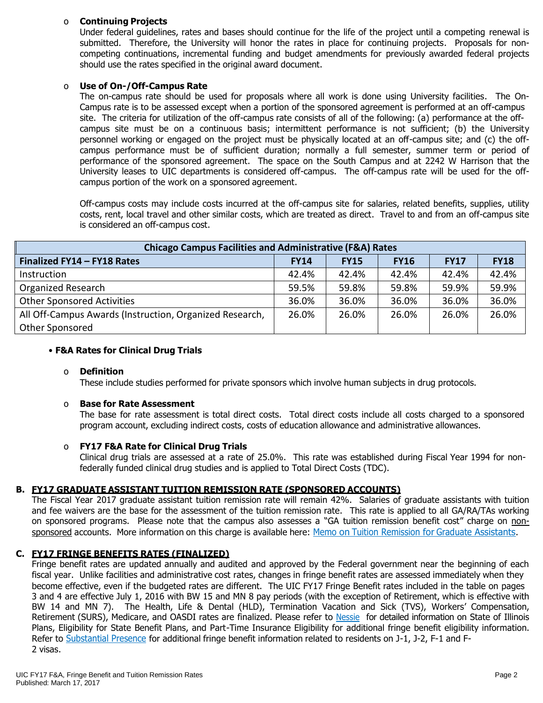# o **Continuing Projects**

Under federal guidelines, rates and bases should continue for the life of the project until a competing renewal is submitted. Therefore, the University will honor the rates in place for continuing projects. Proposals for noncompeting continuations, incremental funding and budget amendments for previously awarded federal projects should use the rates specified in the original award document.

# o **Use of On-/Off-Campus Rate**

The on-campus rate should be used for proposals where all work is done using University facilities. The On-Campus rate is to be assessed except when a portion of the sponsored agreement is performed at an off-campus site. The criteria for utilization of the off-campus rate consists of all of the following: (a) performance at the offcampus site must be on a continuous basis; intermittent performance is not sufficient; (b) the University personnel working or engaged on the project must be physically located at an off-campus site; and (c) the offcampus performance must be of sufficient duration; normally a full semester, summer term or period of performance of the sponsored agreement. The space on the South Campus and at 2242 W Harrison that the University leases to UIC departments is considered off-campus. The off-campus rate will be used for the offcampus portion of the work on a sponsored agreement.

Off-campus costs may include costs incurred at the off-campus site for salaries, related benefits, supplies, utility costs, rent, local travel and other similar costs, which are treated as direct. Travel to and from an off-campus site is considered an off-campus cost.

| <b>Chicago Campus Facilities and Administrative (F&amp;A) Rates</b> |             |             |             |             |             |  |
|---------------------------------------------------------------------|-------------|-------------|-------------|-------------|-------------|--|
| Finalized FY14 - FY18 Rates                                         | <b>FY14</b> | <b>FY15</b> | <b>FY16</b> | <b>FY17</b> | <b>FY18</b> |  |
| Instruction                                                         | 42.4%       | 42.4%       | 42.4%       | 42.4%       | 42.4%       |  |
| <b>Organized Research</b>                                           | 59.5%       | 59.8%       | 59.8%       | 59.9%       | 59.9%       |  |
| <b>Other Sponsored Activities</b>                                   | 36.0%       | 36.0%       | 36.0%       | 36.0%       | 36.0%       |  |
| All Off-Campus Awards (Instruction, Organized Research,             | 26.0%       | 26.0%       | 26.0%       | 26.0%       | 26.0%       |  |
| Other Sponsored                                                     |             |             |             |             |             |  |

#### • **F&A Rates for Clinical Drug Trials**

#### o **Definition**

These include studies performed for private sponsors which involve human subjects in drug protocols.

## o **Base for Rate Assessment**

The base for rate assessment is total direct costs. Total direct costs include all costs charged to a sponsored program account, excluding indirect costs, costs of education allowance and administrative allowances.

## o **FY17 F&A Rate for Clinical Drug Trials**

Clinical drug trials are assessed at a rate of 25.0%. This rate was established during Fiscal Year 1994 for nonfederally funded clinical drug studies and is applied to Total Direct Costs (TDC).

## **B. FY17 GRADUATE ASSISTANT TUITION REMISSION RATE (SPONSORED ACCOUNTS)**

The Fiscal Year 2017 graduate assistant tuition remission rate will remain 42%. Salaries of graduate assistants with tuition and fee waivers are the base for the assessment of the tuition remission rate. This rate is applied to all GA/RA/TAs working on sponsored programs. Please note that the campus also assesses a "GA tuition remission benefit cost" charge on nonsponsored accounts. More information on this charge is available here: Memo on Tuition Remission for Graduate [Assistants](https://www.obfs.uillinois.edu/common/pages/DisplayFile.aspx?itemId=436386).

## **C. FY17 FRINGE BENEFITS RATES (FINALIZED)**

Fringe benefit rates are updated annually and audited and approved by the Federal government near the beginning of each fiscal year. Unlike facilities and administrative cost rates, changes in fringe benefit rates are assessed immediately when they become effective, even if the budgeted rates are different. The UIC FY17 Fringe Benefit rates included in the table on pages 3 and 4 are effective July 1, 2016 with BW 15 and MN 8 pay periods (with the exception of Retirement, which is effective with BW 14 and MN 7). The Health, Life & Dental (HLD), Termination Vacation and Sick (TVS), Workers' Compensation, Retirement (SURS), Medicare, and OASDI rates are finalized. Please refer to [Nessie](http://nessie.uihr.uillinois.edu/cf/benefits/) for detailed information on State of Illinois Plans, Eligibility for State Benefit Plans, and Part-Time Insurance Eligibility for additional fringe benefit eligibility information. Refer to [Substantial](http://www.uic.edu/com/gme/rpm_comp___benefits.htm#real_substantial_pres) Presence for additional fringe benefit information related to residents on J-1, J-2, F-1 and F-2 visas.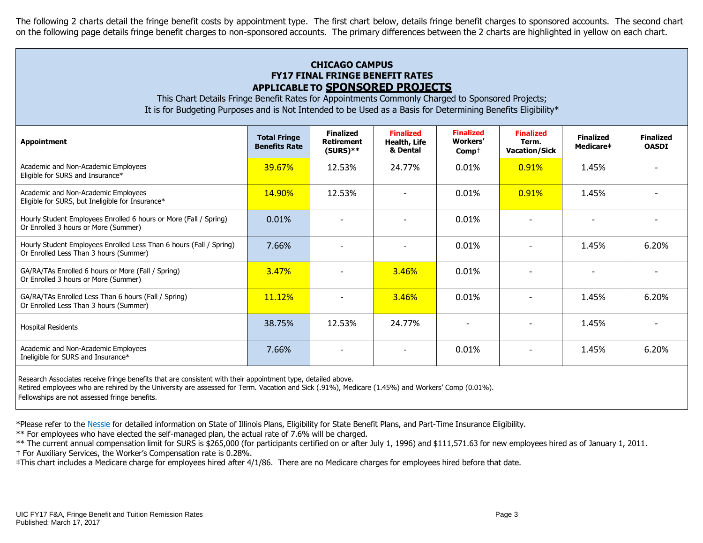The following 2 charts detail the fringe benefit costs by appointment type. The first chart below, details fringe benefit charges to sponsored accounts. The second chart on the following page details fringe benefit charges to non-sponsored accounts. The primary differences between the 2 charts are highlighted in yellow on each chart.

# **CHICAGO CAMPUS FY17 FINAL FRINGE BENEFIT RATES APPLICABLE TO SPONSORED PROJECTS**

This Chart Details Fringe Benefit Rates for Appointments Commonly Charged to Sponsored Projects; It is for Budgeting Purposes and is Not Intended to be Used as a Basis for Determining Benefits Eligibility\*

| <b>Appointment</b>                                                                                            | <b>Total Fringe</b><br><b>Benefits Rate</b> | <b>Finalized</b><br><b>Retirement</b><br>$(SURS)$ ** | <b>Finalized</b><br>Health, Life<br>& Dental | <b>Finalized</b><br>Workers'<br>$Comp+$ | <b>Finalized</b><br>Term.<br><b>Vacation/Sick</b> | <b>Finalized</b><br>Medicare‡ | <b>Finalized</b><br><b>OASDI</b> |
|---------------------------------------------------------------------------------------------------------------|---------------------------------------------|------------------------------------------------------|----------------------------------------------|-----------------------------------------|---------------------------------------------------|-------------------------------|----------------------------------|
| Academic and Non-Academic Employees<br>Eligible for SURS and Insurance*                                       | 39.67%                                      | 12.53%                                               | 24.77%                                       | 0.01%                                   | 0.91%                                             | 1.45%                         |                                  |
| Academic and Non-Academic Employees<br>Eligible for SURS, but Ineligible for Insurance*                       | <b>14.90%</b>                               | 12.53%                                               |                                              | 0.01%                                   | 0.91%                                             | 1.45%                         |                                  |
| Hourly Student Employees Enrolled 6 hours or More (Fall / Spring)<br>Or Enrolled 3 hours or More (Summer)     | 0.01%                                       |                                                      |                                              | 0.01%                                   |                                                   |                               |                                  |
| Hourly Student Employees Enrolled Less Than 6 hours (Fall / Spring)<br>Or Enrolled Less Than 3 hours (Summer) | 7.66%                                       | $\overline{a}$                                       |                                              | 0.01%                                   |                                                   | 1.45%                         | 6.20%                            |
| GA/RA/TAs Enrolled 6 hours or More (Fall / Spring)<br>Or Enrolled 3 hours or More (Summer)                    | 3.47%                                       |                                                      | 3.46%                                        | 0.01%                                   |                                                   |                               |                                  |
| GA/RA/TAs Enrolled Less Than 6 hours (Fall / Spring)<br>Or Enrolled Less Than 3 hours (Summer)                | 11.12%                                      |                                                      | 3.46%                                        | 0.01%                                   |                                                   | 1.45%                         | 6.20%                            |
| <b>Hospital Residents</b>                                                                                     | 38.75%                                      | 12.53%                                               | 24.77%                                       | $\overline{\phantom{0}}$                |                                                   | 1.45%                         |                                  |
| Academic and Non-Academic Employees<br>Ineligible for SURS and Insurance*                                     | 7.66%                                       | $\overline{\phantom{0}}$                             | $\overline{\phantom{0}}$                     | 0.01%                                   |                                                   | 1.45%                         | 6.20%                            |
|                                                                                                               |                                             |                                                      |                                              |                                         |                                                   |                               |                                  |

Research Associates receive fringe benefits that are consistent with their appointment type, detailed above.

Retired employees who are rehired by the University are assessed for Term. Vacation and Sick (.91%), Medicare (1.45%) and Workers' Comp (0.01%).

Fellowships are not assessed fringe benefits.

\*Please refer to the [Nessie](http://nessie.uihr.uillinois.edu/cf/benefits/) for detailed information on State of Illinois Plans, Eligibility for State Benefit Plans, and Part-Time Insurance Eligibility.

\*\* For employees who have elected the self-managed plan, the actual rate of 7.6% will be charged.

\*\* The current annual compensation limit for SURS is \$265,000 (for participants certified on or after July 1, 1996) and \$111,571.63 for new employees hired as of January 1, 2011.

† For Auxiliary Services, the Worker's Compensation rate is 0.28%.

‡This chart includes a Medicare charge for employees hired after 4/1/86. There are no Medicare charges for employees hired before that date.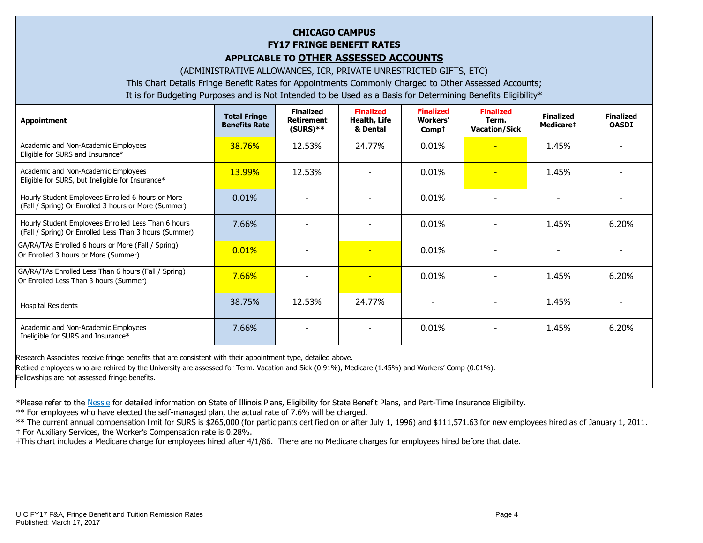# **CHICAGO CAMPUS FY17 FRINGE BENEFIT RATES APPLICABLE TO OTHER ASSESSED ACCOUNTS**

(ADMINISTRATIVE ALLOWANCES, ICR, PRIVATE UNRESTRICTED GIFTS, ETC)

This Chart Details Fringe Benefit Rates for Appointments Commonly Charged to Other Assessed Accounts;

It is for Budgeting Purposes and is Not Intended to be Used as a Basis for Determining Benefits Eligibility\*

| <b>Appointment</b>                                                                                            | <b>Total Fringe</b><br><b>Benefits Rate</b> | <b>Finalized</b><br><b>Retirement</b><br>$(SURS)**$ | <b>Finalized</b><br>Health, Life<br>& Dental | <b>Finalized</b><br><b>Workers'</b><br>$Comp+$ | <b>Finalized</b><br>Term.<br><b>Vacation/Sick</b> | <b>Finalized</b><br>Medicare# | <b>Finalized</b><br><b>OASDI</b> |
|---------------------------------------------------------------------------------------------------------------|---------------------------------------------|-----------------------------------------------------|----------------------------------------------|------------------------------------------------|---------------------------------------------------|-------------------------------|----------------------------------|
| Academic and Non-Academic Employees<br>Eligible for SURS and Insurance*                                       | 38.76%                                      | 12.53%                                              | 24.77%                                       | 0.01%                                          | $\overline{\phantom{a}}$                          | 1.45%                         |                                  |
| Academic and Non-Academic Employees<br>Eligible for SURS, but Ineligible for Insurance*                       | 13.99%                                      | 12.53%                                              |                                              | 0.01%                                          | $\overline{\phantom{0}}$                          | 1.45%                         |                                  |
| Hourly Student Employees Enrolled 6 hours or More<br>(Fall / Spring) Or Enrolled 3 hours or More (Summer)     | 0.01%                                       |                                                     |                                              | 0.01%                                          |                                                   |                               |                                  |
| Hourly Student Employees Enrolled Less Than 6 hours<br>(Fall / Spring) Or Enrolled Less Than 3 hours (Summer) | 7.66%                                       |                                                     |                                              | 0.01%                                          |                                                   | 1.45%                         | 6.20%                            |
| GA/RA/TAs Enrolled 6 hours or More (Fall / Spring)<br>Or Enrolled 3 hours or More (Summer)                    | 0.01%                                       |                                                     |                                              | 0.01%                                          |                                                   |                               |                                  |
| GA/RA/TAs Enrolled Less Than 6 hours (Fall / Spring)<br>Or Enrolled Less Than 3 hours (Summer)                | 7.66%                                       |                                                     |                                              | 0.01%                                          |                                                   | 1.45%                         | 6.20%                            |
| <b>Hospital Residents</b>                                                                                     | 38.75%                                      | 12.53%                                              | 24.77%                                       |                                                | $\overline{\phantom{0}}$                          | 1.45%                         |                                  |
| Academic and Non-Academic Employees<br>Ineligible for SURS and Insurance*                                     | 7.66%                                       |                                                     |                                              | 0.01%                                          |                                                   | 1.45%                         | 6.20%                            |
|                                                                                                               |                                             |                                                     |                                              |                                                |                                                   |                               |                                  |

Research Associates receive fringe benefits that are consistent with their appointment type, detailed above.

Retired employees who are rehired by the University are assessed for Term. Vacation and Sick (0.91%), Medicare (1.45%) and Workers' Comp (0.01%).

Fellowships are not assessed fringe benefits.

\*Please refer to the [Nessie](http://nessie.uihr.uillinois.edu/cf/benefits/) for detailed information on State of Illinois Plans, Eligibility for State Benefit Plans, and Part-Time Insurance Eligibility.

\*\* For employees who have elected the self-managed plan, the actual rate of 7.6% will be charged.

\*\* The current annual compensation limit for SURS is \$265,000 (for participants certified on or after July 1, 1996) and \$111,571.63 for new employees hired as of January 1, 2011. † For Auxiliary Services, the Worker's Compensation rate is 0.28%.

‡This chart includes a Medicare charge for employees hired after 4/1/86. There are no Medicare charges for employees hired before that date.